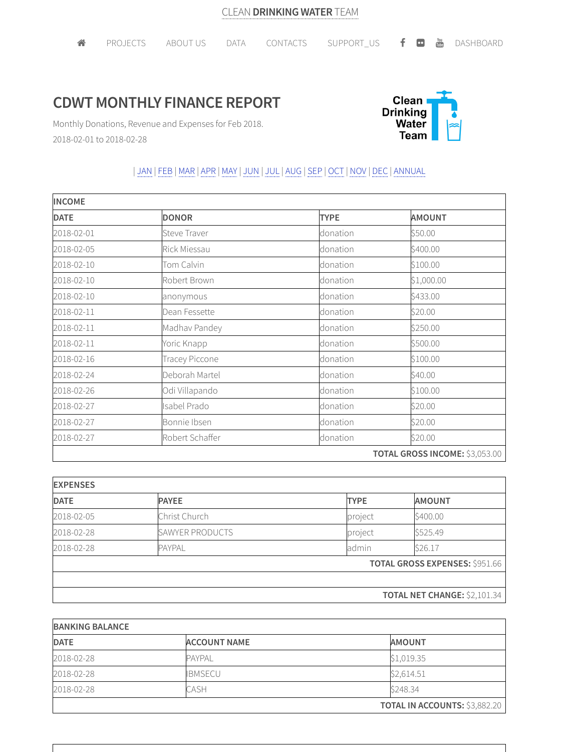## **CDWT MONTHLY FINANCE REPORT**



Monthly Donations, Revenue and Expenses for Feb 2018. 2018-02-01 to 2018-02-28

## | JAN | FEB |MAR |APR |MAY | JUN | JUL | AUG |SEP | OCT | NOV | DEC | ANNUAL

| <b>INCOME</b> |                     |             |                                |  |
|---------------|---------------------|-------------|--------------------------------|--|
| <b>DATE</b>   | <b>DONOR</b>        | <b>TYPE</b> | <b>AMOUNT</b>                  |  |
| 2018-02-01    | <b>Steve Traver</b> | donation    | \$50.00                        |  |
| 2018-02-05    | Rick Miessau        | donation    | \$400.00                       |  |
| 2018-02-10    | Tom Calvin          | donation    | \$100.00                       |  |
| 2018-02-10    | Robert Brown        | donation    | \$1,000.00                     |  |
| 2018-02-10    | anonymous           | donation    | \$433.00                       |  |
| 2018-02-11    | Dean Fessette       | donation    | \$20.00                        |  |
| 2018-02-11    | Madhav Pandey       | donation    | \$250.00                       |  |
| 2018-02-11    | Yoric Knapp         | donation    | \$500.00                       |  |
| 2018-02-16    | Tracey Piccone      | donation    | \$100.00                       |  |
| 2018-02-24    | Deborah Martel      | donation    | \$40.00                        |  |
| 2018-02-26    | Odi Villapando      | donation    | \$100.00                       |  |
| 2018-02-27    | Isabel Prado        | donation    | \$20.00                        |  |
| 2018-02-27    | Bonnie Ibsen        | donation    | \$20.00                        |  |
| 2018-02-27    | Robert Schaffer     | donation    | \$20.00                        |  |
|               |                     |             | TOTAL GROSS INCOME: \$3,053.00 |  |

| <b>EXPENSES</b> |                        |             |                                       |  |
|-----------------|------------------------|-------------|---------------------------------------|--|
| <b>DATE</b>     | <b>PAYEE</b>           | <b>TYPE</b> | <b>AMOUNT</b>                         |  |
| 2018-02-05      | Christ Church          | project     | \$400.00                              |  |
| 2018-02-28      | <b>SAWYER PRODUCTS</b> | project     | \$525.49                              |  |
| 2018-02-28      | <b>PAYPAL</b>          | admin       | \$26.17                               |  |
|                 |                        |             | <b>TOTAL GROSS EXPENSES: \$951.66</b> |  |
|                 |                        |             |                                       |  |
|                 |                        |             | <b>TOTAL NET CHANGE: \$2,101.34</b>   |  |

| <b>BANKING BALANCE</b> |                     |                                      |  |  |
|------------------------|---------------------|--------------------------------------|--|--|
| <b>DATE</b>            | <b>ACCOUNT NAME</b> | <b>AMOUNT</b>                        |  |  |
| 2018-02-28             | <b>PAYPAL</b>       | \$1,019.35                           |  |  |
| 2018-02-28             | <b>IBMSECU</b>      | \$2,614.51                           |  |  |
| 2018-02-28             | CASH                | \$248.34                             |  |  |
|                        |                     | <b>TOTAL IN ACCOUNTS: \$3,882.20</b> |  |  |